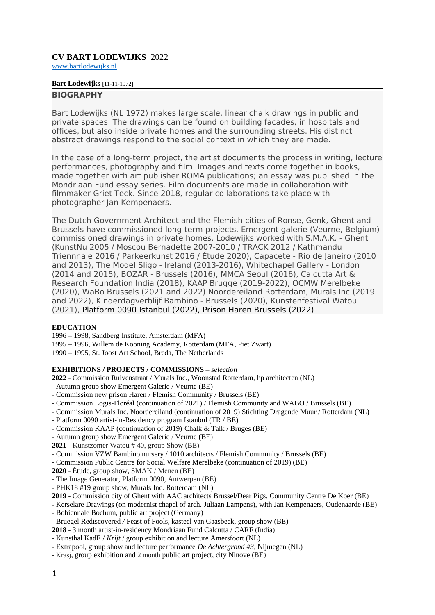# **CV BART LODEWIJKS** 2022

[www.bartlodewijks.nl](http://www.bartlodewijks.nl/)

### **Bart Lodewijks [**11-11-1972]

## **BIOGRAPHY**

Bart Lodewijks (NL 1972) makes large scale, linear chalk drawings in public and private spaces. The drawings can be found on building facades, in hospitals and offices, but also inside private homes and the surrounding streets. His distinct abstract drawings respond to the social context in which they are made.

In the case of a long-term project, the artist documents the process in writing, lecture performances, photography and film. Images and texts come together in books, made together with art publisher ROMA publications; an essay was published in the Mondriaan Fund essay series. Film documents are made in collaboration with filmmaker Griet Teck. Since 2018, regular collaborations take place with photographer Jan Kempenaers.

The Dutch Government Architect and the Flemish cities of Ronse, Genk, Ghent and Brussels have commissioned long-term projects. Emergent galerie (Veurne, Belgium) commissioned drawings in private homes. Lodewijks worked with S.M.A.K. - Ghent (KunstNu 2005 / Moscou Bernadette 2007-2010 / TRACK 2012 / Kathmandu Triennnale 2016 / Parkeerkunst 2016 / Étude 2020), Capacete - Rio de Janeiro (2010 and 2013), The Model Sligo - Ireland (2013-2016), Whitechapel Gallery - London (2014 and 2015), BOZAR - Brussels (2016), MMCA Seoul (2016), Calcutta Art & Research Foundation India (2018), KAAP Brugge (2019-2022), OCMW Merelbeke (2020), WaBo Brussels (2021 and 2022) Noordereiland Rotterdam, Murals Inc (2019 and 2022), Kinderdagverblijf Bambino - Brussels (2020), Kunstenfestival Watou (2021), Platform 0090 Istanbul (2022), Prison Haren Brussels (2022)

### **EDUCATION**

1996 – 1998, Sandberg Institute, Amsterdam (MFA)

- 1995 1996, Willem de Kooning Academy, Rotterdam (MFA, Piet Zwart)
- 1990 1995, St. Joost Art School, Breda, The Netherlands

### **EXHIBITIONS / PROJECTS / COMMISSIONS –** *selection*

**2022** - Commission Ruivenstraat / Murals Inc., Woonstad Rotterdam, hp architecten (NL)

- Autumn group show Emergent Galerie / Veurne (BE)
- Commission new prison Haren / Flemish Community / Brussels (BE)
- Commission Logis-Floréal (continuation of 2021) / Flemish Community and WABO / Brussels (BE)
- Commission Murals Inc. Noordereiland (continuation of 2019) Stichting Dragende Muur / Rotterdam (NL)
- Platform 0090 artist-in-Residency program Istanbul (TR / BE)
- Commission KAAP (continuation of 2019) Chalk & Talk / Bruges (BE)
- Autumn group show Emergent Galerie / Veurne (BE)
- **2021**  Kunstzomer Watou # 40, group Show (BE)
- Commission VZW Bambino nursery / 1010 architects / Flemish Community / Brussels (BE)
- Commission Public Centre for Social Welfare Merelbeke (continuation of 2019) (BE)

**2020** - Étude, group show, SMAK / Menen (BE)

- The Image Generator, Platform 0090, Antwerpen (BE)
- PHK18 #19 group show, Murals Inc. Rotterdam (NL)
- **2019** Commission city of Ghent with AAC architects Brussel/Dear Pigs. Community Centre De Koer (BE)

*-* Kerselare Drawings (on modernist chapel of arch. Juliaan Lampens), with Jan Kempenaers, Oudenaarde (BE)

- Bobiennale Bochum, public art project (Germany)
- Bruegel Rediscovered */* Feast of Fools, kasteel van Gaasbeek, group show (BE)
- **2018**  3 month artist-in-residency Mondriaan Fund Calcutta / CARF (India)
- Kunsthal KadE / *Krijt* / group exhibition and lecture Amersfoort (NL)
- Extrapool, group show and lecture performance *De Achtergrond #3*, Nijmegen (NL)
- Krasj, group exhibition and 2 month public art project, city Ninove (BE)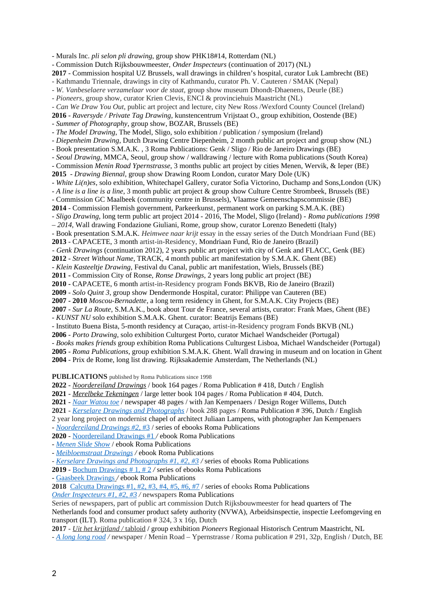- Murals Inc. *pli selon pli drawing*, group show PHK18#14, Rotterdam (NL) - Commission Dutch Rijksbouwmeester, *Onder Inspecteurs* (continuation of 2017) (NL) **2017** *-* Commission hospital UZ Brussels*,* wall drawings in children's hospital, curator Luk Lambrecht (BE) - Kathmandu Triennale, drawings in city of Kathmandu, curator Ph. V. Cauteren / SMAK (Nepal) - *W. Vanbeselaere verzamelaar voor de staat,* group show museum Dhondt-Dhaenens, Deurle (BE) - *Pioneers*, group show, curator Krien Clevis, ENCI & provinciehuis Maastricht (NL) - *Can We Draw You Out*, public art project and lecture, city New Ross /Wexford County Councel (Ireland) **2016** - *Raversyde / Private Tag Drawing*, kunstencentrum Vrijstaat O., group exhibition, Oostende (BE) *- Summer of Photography*, group show, BOZAR, Brussels (BE) - *The Model Drawing*, The Model, Sligo, solo exhibition / publication / symposium (Ireland) - *Diepenheim Drawing*, Dutch Drawing Centre Diepenheim, 2 month public art project and group show (NL) - Book presentation S.M.A.K. , 3 Roma Publications: Genk / Sligo / Rio de Janeiro Drawings (BE) - *Seoul Drawing*, MMCA, Seoul, group show / walldrawing / lecture with Roma publications (South Korea) - Commission *Menin Road Ypernstrasse*, 3 months public art project by cities Menen, Wervik, & Ieper (BE) **2015** - *Drawing Biennal*, group show Drawing Room London, curator Mary Dole (UK) *- White Li(n)es*, solo exhibition, Whitechapel Gallery, curator Sofia Victorino, Duchamp and Sons,London (UK) - *A line is a line is a line*, 3 month public art project & group show Culture Centre Strombeek, Brussels (BE) - Commission GC Maalbeek (community centre in Brussels), Vlaamse Gemeenschapscommissie (BE) **2014** - Commission Flemish government, Parkeerkunst*,* permanent work on parking S.M.A.K. (BE) - *Sligo Drawing*, long term public art project 2014 - 2016, The Model, Sligo (Ireland) - *Roma publications 1998 – 2014*, Wall drawing Fondazione Giuliani, Rome, group show, curator Lorenzo Benedetti (Italy) - Book presentation S.M.A.K. *Heimwee naar krijt* essay in the essay series of the Dutch Mondriaan Fund (BE) **2013** - CAPACETE, 3 month artist-in-Residency, Mondriaan Fund, Rio de Janeiro (Brazil) - *Genk Drawings* (continuation 2012), 2 years public art project with city of Genk and FLACC, Genk (BE) **2012** - *Street Without Name*, TRACK, 4 month public art manifestation by S.M.A.K. Ghent (BE) - *Klein Kasteeltje Drawing*, Festival du Canal, public art manifestation, Wiels, Brussels (BE) **2011 -** Commission City of Ronse, *Ronse Drawings*, 2 years long public art project (BE) **2010 -** CAPACETE, 6 month artist-in-Residency program Fonds BKVB, Rio de Janeiro (Brazil) **2009** *- Solo Quint 3,* group show Dendermonde Hospital, curator: Philippe van Cauteren (BE) **2007 - 2010** *Moscou-Bernadette*, a long term residency in Ghent, for S.M.A.K. City Projects (BE) **2007** *- Sur La Route*, S.M.A.K., book about Tour de France, several artists, curator: Frank Maes, Ghent (BE) *- KUNST NU* solo exhibition S.M.A.K. Ghent. curator: Beatrijs Eemans (BE) - Instituto Buena Bista, 5-month residency at Curaçao, artist-in-Residency program Fonds BKVB (NL) **2006** *- Porto Drawing*, solo exhibition Culturgest Porto, curator Michael Wandscheider (Portugal) *- Books makes friends* group exhibition Roma Publications Culturgest Lisboa, Michael Wandscheider (Portugal) **2005** - *Roma Publications*, group exhibition S.M.A.K. Ghent. Wall drawing in museum and on location in Ghent **2004** - Prix de Rome, long list drawing. Rijksakademie Amsterdam, The Netherlands (NL)

**PUBLICATIONS** published by Roma Publications since 1998

**2022** - *[Noordereiland Drawings](https://www.romapublications.org/Bart_Lodewijks_Library/Noordereiland/index.html)* / book 164 pages / Roma Publication # 418, Dutch / English

**2021** - *[Merelbeke Tekeningen](https://www.romapublications.org/Roma251-500.html)* / large letter book 104 pages / Roma Publication # 404, Dutch.

**2021** - *[Naar Watou toe](https://issuu.com/romapublications/docs/on_the_road_to_watou_eng?fr=sNjIwNTMzMDI2NTc)* / newspaper 48 pages / with Jan Kempenaers / Design Roger Willems, Dutch

**2021** - *[Kerselare Drawings and Photographs](https://www.ideabooks.nl/9789492811899-bart-lodewijks-jan-kempenaers-kerselare-drawings-and-photographs)* / book 288 pages / Roma Publication # 396, Dutch / English

2 year long project on modernist chapel of architect Juliaan Lampens, with photographer Jan Kempenaers

- *[Noordereiland Drawings #2](https://www.romapublications.org/Bart_Lodewijks_Library/Noordereiland/index.html)* , #3 / series of ebooks Roma Publications

**2020** - [Noordereiland Drawings](https://www.romapublications.org/Bart_Lodewijks_Library/Noordereiland/index_NL.html) #1 */* ebook Roma Publications

- *[Menen Slide Show](https://www.romapublications.org/Bart_Lodewijks_Library/Menen_Slideshow/index_NL.html)* / ebook Roma Publications

- *[Meibloemstraat Drawings](https://www.romapublications.org/Bart_Lodewijks_Library/Meibloemstraat/index_NL.html) /* ebook Roma Publications

- *[Kerselare Drawings and Photographs #1, #2, #3](https://www.romapublications.org/Bart_Lodewijks_Library/Kerselare/index_NL.html) /* series of ebooks Roma Publications

**2019** *-* [Bochum Drawings # 1, # 2](https://www.romapublications.org/Bart_Lodewijks_Library/Bochum/index_NL.html) */* series of ebooks Roma Publications

- [Gaasbeek Drawings](https://www.romapublications.org/Bart_Lodewijks_Library/Gaasbeek/index_NL.html) */* ebook Roma Publications

**2018** [Calcutta Drawings #1, #2, #3, #4, #5, #6, #7](https://www.romapublications.org/Bart_Lodewijks_Library/Calcutta/index_NL.html) / series of ebooks Roma Publications

*[Onder Inspecteurs #1, #2, #3](https://www.ideabooks.nl/bart-lodewijks-onder-inspecteurs-deel-1-2-en-3) /* newspapers Roma Publications

Series of newspapers, part of public art commission Dutch Rijksbouwmeester for head quarters of The Netherlands food and consumer product safety authority (NVWA), Arbeidsinspectie, inspectie Leefomgeving en transport (ILT). Roma publication # 324, 3 x 16p, Dutch

**2017** *- Uit het krijtland /* tabloid **/** group exhibition *Pioneers* Regionaal Historisch Centrum Maastricht, NL

- *[A long long road](http://salon-fuer-kunstbuch.at/a-long-long-road.html) /* newspaper / Menin Road – Ypernstrasse / Roma publication # 291, 32p, English / Dutch, BE